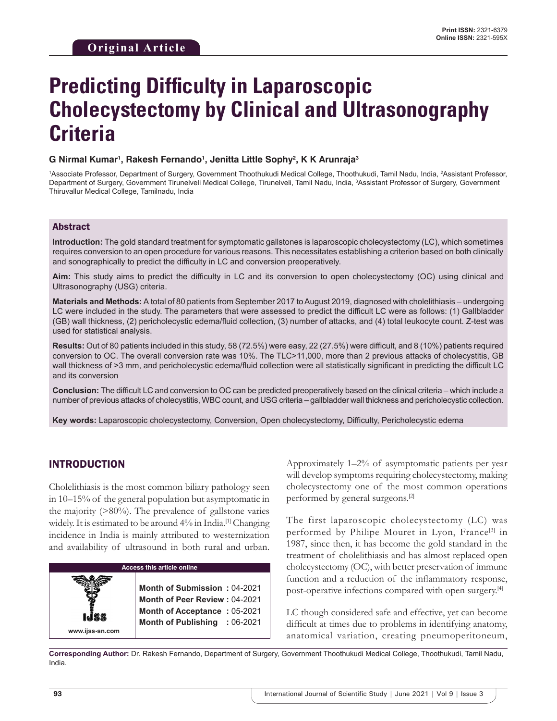# **Predicting Difficulty in Laparoscopic Cholecystectomy by Clinical and Ultrasonography Criteria**

#### **G Nirmal Kumar1 , Rakesh Fernando1 , Jenitta Little Sophy2 , K K Arunraja3**

<sup>1</sup>Associate Professor, Department of Surgery, Government Thoothukudi Medical College, Thoothukudi, Tamil Nadu, India, <sup>2</sup>Assistant Professor, Department of Surgery, Government Tirunelveli Medical College, Tirunelveli, Tamil Nadu, India, 3 Assistant Professor of Surgery, Government Thiruvallur Medical College, Tamilnadu, India

#### Abstract

**Introduction:** The gold standard treatment for symptomatic gallstones is laparoscopic cholecystectomy (LC), which sometimes requires conversion to an open procedure for various reasons. This necessitates establishing a criterion based on both clinically and sonographically to predict the difficulty in LC and conversion preoperatively.

**Aim:** This study aims to predict the difficulty in LC and its conversion to open cholecystectomy (OC) using clinical and Ultrasonography (USG) criteria.

**Materials and Methods:** A total of 80 patients from September 2017 to August 2019, diagnosed with cholelithiasis – undergoing LC were included in the study. The parameters that were assessed to predict the difficult LC were as follows: (1) Gallbladder (GB) wall thickness, (2) pericholecystic edema/fluid collection, (3) number of attacks, and (4) total leukocyte count. Z-test was used for statistical analysis.

**Results:** Out of 80 patients included in this study, 58 (72.5%) were easy, 22 (27.5%) were difficult, and 8 (10%) patients required conversion to OC. The overall conversion rate was 10%. The TLC>11,000, more than 2 previous attacks of cholecystitis, GB wall thickness of >3 mm, and pericholecystic edema/fluid collection were all statistically significant in predicting the difficult LC and its conversion

**Conclusion:** The difficult LC and conversion to OC can be predicted preoperatively based on the clinical criteria – which include a number of previous attacks of cholecystitis, WBC count, and USG criteria – gallbladder wall thickness and pericholecystic collection.

**Key words:** Laparoscopic cholecystectomy, Conversion, Open cholecystectomy, Difficulty, Pericholecystic edema

## INTRODUCTION

Cholelithiasis is the most common biliary pathology seen in 10–15% of the general population but asymptomatic in the majority (>80%). The prevalence of gallstone varies widely. It is estimated to be around  $4\%$  in India.<sup>[1]</sup> Changing incidence in India is mainly attributed to westernization and availability of ultrasound in both rural and urban.



Approximately 1–2% of asymptomatic patients per year will develop symptoms requiring cholecystectomy, making cholecystectomy one of the most common operations performed by general surgeons.[2]

The first laparoscopic cholecystectomy (LC) was performed by Philipe Mouret in Lyon, France<sup>[3]</sup> in 1987, since then, it has become the gold standard in the treatment of cholelithiasis and has almost replaced open cholecystectomy (OC), with better preservation of immune function and a reduction of the inflammatory response, post-operative infections compared with open surgery.[4]

LC though considered safe and effective, yet can become difficult at times due to problems in identifying anatomy, anatomical variation, creating pneumoperitoneum,

**Corresponding Author:** Dr. Rakesh Fernando, Department of Surgery, Government Thoothukudi Medical College, Thoothukudi, Tamil Nadu, India.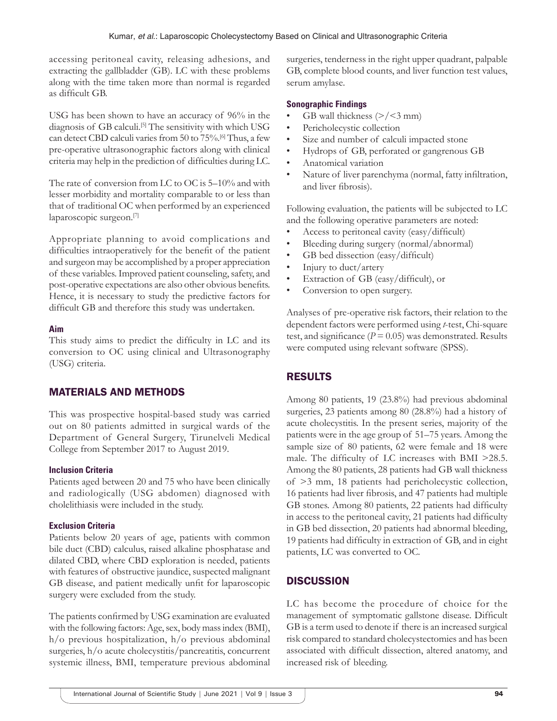accessing peritoneal cavity, releasing adhesions, and extracting the gallbladder (GB). LC with these problems along with the time taken more than normal is regarded as difficult GB.

USG has been shown to have an accuracy of 96% in the diagnosis of GB calculi.<sup>[5]</sup> The sensitivity with which USG can detect CBD calculi varies from 50 to 75%.[6] Thus, a few pre-operative ultrasonographic factors along with clinical criteria may help in the prediction of difficulties during LC.

The rate of conversion from LC to OC is 5–10% and with lesser morbidity and mortality comparable to or less than that of traditional OC when performed by an experienced laparoscopic surgeon.[7]

Appropriate planning to avoid complications and difficulties intraoperatively for the benefit of the patient and surgeon may be accomplished by a proper appreciation of these variables. Improved patient counseling, safety, and post-operative expectations are also other obvious benefits. Hence, it is necessary to study the predictive factors for difficult GB and therefore this study was undertaken.

#### **Aim**

This study aims to predict the difficulty in LC and its conversion to OC using clinical and Ultrasonography (USG) criteria.

## MATERIALS AND METHODS

This was prospective hospital-based study was carried out on 80 patients admitted in surgical wards of the Department of General Surgery, Tirunelveli Medical College from September 2017 to August 2019.

#### **Inclusion Criteria**

Patients aged between 20 and 75 who have been clinically and radiologically (USG abdomen) diagnosed with cholelithiasis were included in the study.

#### **Exclusion Criteria**

Patients below 20 years of age, patients with common bile duct (CBD) calculus, raised alkaline phosphatase and dilated CBD, where CBD exploration is needed, patients with features of obstructive jaundice, suspected malignant GB disease, and patient medically unfit for laparoscopic surgery were excluded from the study.

The patients confirmed by USG examination are evaluated with the following factors: Age, sex, body mass index (BMI), h/o previous hospitalization, h/o previous abdominal surgeries, h/o acute cholecystitis/pancreatitis, concurrent systemic illness, BMI, temperature previous abdominal surgeries, tenderness in the right upper quadrant, palpable GB, complete blood counts, and liver function test values, serum amylase.

#### **Sonographic Findings**

- GB wall thickness  $(\geq)$  /<3 mm)
- Pericholecystic collection
- Size and number of calculi impacted stone
- Hydrops of GB, perforated or gangrenous GB
- Anatomical variation
- Nature of liver parenchyma (normal, fatty infiltration, and liver fibrosis).

Following evaluation, the patients will be subjected to LC and the following operative parameters are noted:

- Access to peritoneal cavity (easy/difficult)
- Bleeding during surgery (normal/abnormal)
- GB bed dissection (easy/difficult)
- Injury to duct/artery
- Extraction of GB (easy/difficult), or
- Conversion to open surgery.

Analyses of pre-operative risk factors, their relation to the dependent factors were performed using *t*-test, Chi-square test, and significance  $(P = 0.05)$  was demonstrated. Results were computed using relevant software (SPSS).

# RESULTS

Among 80 patients, 19 (23.8%) had previous abdominal surgeries, 23 patients among 80 (28.8%) had a history of acute cholecystitis. In the present series, majority of the patients were in the age group of 51–75 years. Among the sample size of 80 patients, 62 were female and 18 were male. The difficulty of LC increases with BMI >28.5. Among the 80 patients, 28 patients had GB wall thickness of >3 mm, 18 patients had pericholecystic collection, 16 patients had liver fibrosis, and 47 patients had multiple GB stones. Among 80 patients, 22 patients had difficulty in access to the peritoneal cavity, 21 patients had difficulty in GB bed dissection, 20 patients had abnormal bleeding, 19 patients had difficulty in extraction of GB, and in eight patients, LC was converted to OC.

# **DISCUSSION**

LC has become the procedure of choice for the management of symptomatic gallstone disease. Difficult GB is a term used to denote if there is an increased surgical risk compared to standard cholecystectomies and has been associated with difficult dissection, altered anatomy, and increased risk of bleeding.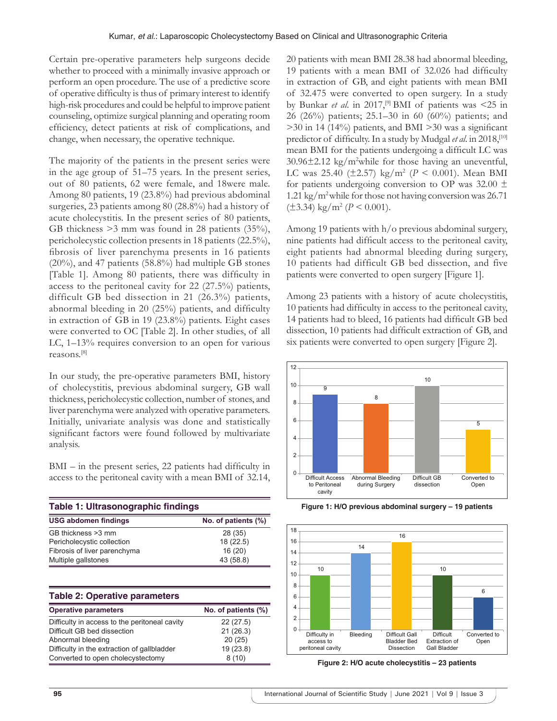Certain pre-operative parameters help surgeons decide whether to proceed with a minimally invasive approach or perform an open procedure. The use of a predictive score of operative difficulty is thus of primary interest to identify high-risk procedures and could be helpful to improve patient counseling, optimize surgical planning and operating room efficiency, detect patients at risk of complications, and change, when necessary, the operative technique.

The majority of the patients in the present series were in the age group of 51–75 years. In the present series, out of 80 patients, 62 were female, and 18were male. Among 80 patients, 19 (23.8%) had previous abdominal surgeries, 23 patients among 80 (28.8%) had a history of acute cholecystitis. In the present series of 80 patients, GB thickness >3 mm was found in 28 patients (35%), pericholecystic collection presents in 18 patients (22.5%), fibrosis of liver parenchyma presents in 16 patients (20%), and 47 patients (58.8%) had multiple GB stones [Table 1]. Among 80 patients, there was difficulty in access to the peritoneal cavity for 22 (27.5%) patients, difficult GB bed dissection in 21 (26.3%) patients, abnormal bleeding in 20 (25%) patients, and difficulty in extraction of GB in 19 (23.8%) patients. Eight cases were converted to OC [Table 2]. In other studies, of all LC, 1–13% requires conversion to an open for various reasons.[8]

In our study, the pre-operative parameters BMI, history of cholecystitis, previous abdominal surgery, GB wall thickness, pericholecystic collection, number of stones, and liver parenchyma were analyzed with operative parameters. Initially, univariate analysis was done and statistically significant factors were found followed by multivariate analysis.

BMI – in the present series, 22 patients had difficulty in access to the peritoneal cavity with a mean BMI of 32.14,

| Table 1: Ultrasonographic findings |                     |  |
|------------------------------------|---------------------|--|
| <b>USG abdomen findings</b>        | No. of patients (%) |  |
| GB thickness > 3 mm                | 28 (35)             |  |
| Pericholecystic collection         | 18(22.5)            |  |
| Fibrosis of liver parenchyma       | 16(20)              |  |
| Multiple gallstones                | 43 (58.8)           |  |

| <b>Table 2: Operative parameters</b>          |                     |
|-----------------------------------------------|---------------------|
| <b>Operative parameters</b>                   | No. of patients (%) |
| Difficulty in access to the peritoneal cavity | 22(27.5)            |
| Difficult GB bed dissection                   | 21(26.3)            |
| Abnormal bleeding                             | 20(25)              |
| Difficulty in the extraction of gallbladder   | 19(23.8)            |
| Converted to open cholecystectomy             | 8(10)               |

20 patients with mean BMI 28.38 had abnormal bleeding, 19 patients with a mean BMI of 32.026 had difficulty in extraction of GB, and eight patients with mean BMI of 32.475 were converted to open surgery. In a study by Bunkar *et al.* in 2017,<sup>[9]</sup> BMI of patients was <25 in 26 (26%) patients; 25.1–30 in 60 (60%) patients; and  $>$ 30 in 14 (14%) patients, and BMI  $>$ 30 was a significant predictor of difficulty. In a study by Mudgal *et al*. in 2018,[10] mean BMI for the patients undergoing a difficult LC was 30.96±2.12 kg/m2 while for those having an uneventful, LC was  $25.40$  ( $\pm 2.57$ ) kg/m<sup>2</sup> ( $P < 0.001$ ). Mean BMI for patients undergoing conversion to OP was  $32.00 \pm$ 1.21 kg/m2 while for those not having conversion was 26.71  $(\pm 3.34)$  kg/m<sup>2</sup> ( $P < 0.001$ ).

Among 19 patients with h/o previous abdominal surgery, nine patients had difficult access to the peritoneal cavity, eight patients had abnormal bleeding during surgery, 10 patients had difficult GB bed dissection, and five patients were converted to open surgery [Figure 1].

Among 23 patients with a history of acute cholecystitis, 10 patients had difficulty in access to the peritoneal cavity, 14 patients had to bleed, 16 patients had difficult GB bed dissection, 10 patients had difficult extraction of GB, and six patients were converted to open surgery [Figure 2].



**Figure 1: H/O previous abdominal surgery – 19 patients**



**Figure 2: H/O acute cholecystitis – 23 patients**